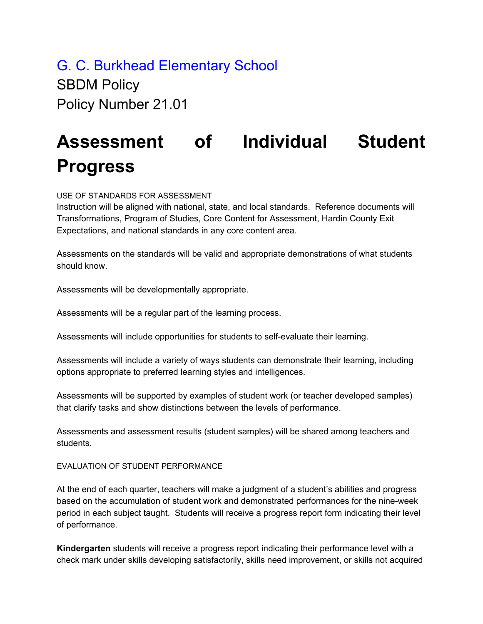G. C. Burkhead Elementary School **SBDM Policy** Policy Number 21.01

## **Assessment of Individual Student Progress**

USE OF STANDARDS FOR ASSESSMENT

Instruction will be aligned with national, state, and local standards. Reference documents will Transformations, Program of Studies, Core Content for Assessment, Hardin County Exit Expectations, and national standards in any core content area.

Assessments on the standards will be valid and appropriate demonstrations of what students should know.

Assessments will be developmentally appropriate.

Assessments will be a regular part of the learning process.

Assessments will include opportunities for students to self-evaluate their learning.

Assessments will include a variety of ways students can demonstrate their learning, including options appropriate to preferred learning styles and intelligences.

Assessments will be supported by examples of student work (or teacher developed samples) that clarify tasks and show distinctions between the levels of performance.

Assessments and assessment results (student samples) will be shared among teachers and students.

EVALUATION OF STUDENT PERFORMANCE

At the end of each quarter, teachers will make a judgment of a student's abilities and progress based on the accumulation of student work and demonstrated performances for the nine-week period in each subject taught. Students will receive a progress report form indicating their level of performance.

**Kindergarten** students will receive a progress report indicating their performance level with a check mark under skills developing satisfactorily, skills need improvement, or skills not acquired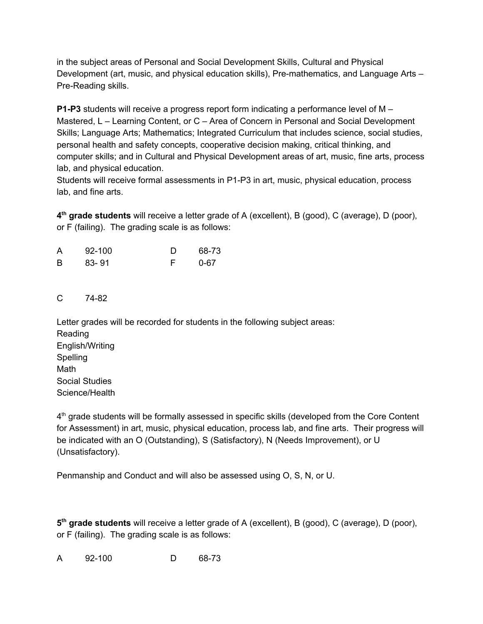in the subject areas of Personal and Social Development Skills, Cultural and Physical Development (art, music, and physical education skills), Pre-mathematics, and Language Arts – Pre-Reading skills.

**P1-P3** students will receive a progress report form indicating a performance level of M – Mastered, L – Learning Content, or C – Area of Concern in Personal and Social Development Skills; Language Arts; Mathematics; Integrated Curriculum that includes science, social studies, personal health and safety concepts, cooperative decision making, critical thinking, and computer skills; and in Cultural and Physical Development areas of art, music, fine arts, process lab, and physical education.

Students will receive formal assessments in P1-P3 in art, music, physical education, process lab, and fine arts.

**4 th grade students** will receive a letter grade of A (excellent), B (good), C (average), D (poor), or F (failing). The grading scale is as follows:

| A | 92-100 | 68-73    |
|---|--------|----------|
| B | 83-91  | $0 - 67$ |

C 74-82

Letter grades will be recorded for students in the following subject areas: Reading English/Writing Spelling Math Social Studies Science/Health

4<sup>th</sup> grade students will be formally assessed in specific skills (developed from the Core Content for Assessment) in art, music, physical education, process lab, and fine arts. Their progress will be indicated with an O (Outstanding), S (Satisfactory), N (Needs Improvement), or U (Unsatisfactory).

Penmanship and Conduct and will also be assessed using O, S, N, or U.

**5 th grade students** will receive a letter grade of A (excellent), B (good), C (average), D (poor), or F (failing). The grading scale is as follows:

A 92-100 D 68-73